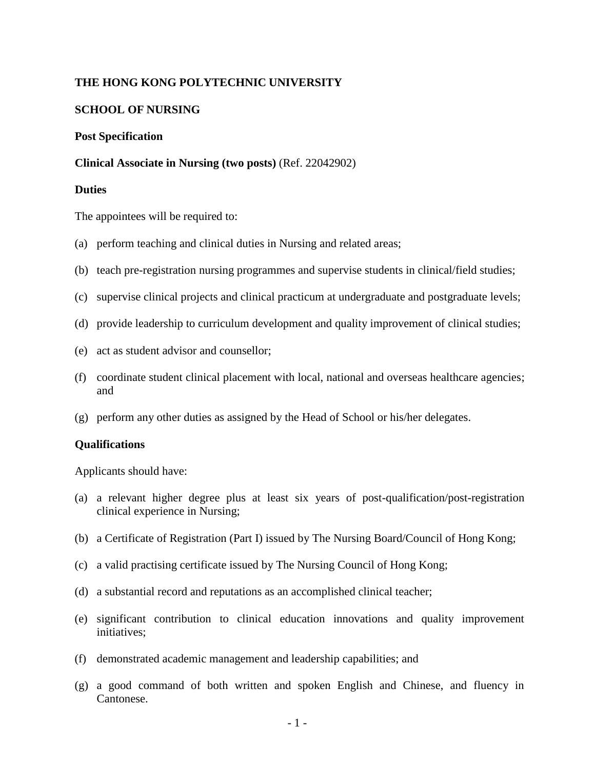# **THE HONG KONG POLYTECHNIC UNIVERSITY**

# **SCHOOL OF NURSING**

#### **Post Specification**

### **Clinical Associate in Nursing (two posts)** (Ref. 22042902)

### **Duties**

The appointees will be required to:

- (a) perform teaching and clinical duties in Nursing and related areas;
- (b) teach pre-registration nursing programmes and supervise students in clinical/field studies;
- (c) supervise clinical projects and clinical practicum at undergraduate and postgraduate levels;
- (d) provide leadership to curriculum development and quality improvement of clinical studies;
- (e) act as student advisor and counsellor;
- (f) coordinate student clinical placement with local, national and overseas healthcare agencies; and
- (g) perform any other duties as assigned by the Head of School or his/her delegates.

# **Qualifications**

Applicants should have:

- (a) a relevant higher degree plus at least six years of post-qualification/post-registration clinical experience in Nursing;
- (b) a Certificate of Registration (Part I) issued by The Nursing Board/Council of Hong Kong;
- (c) a valid practising certificate issued by The Nursing Council of Hong Kong;
- (d) a substantial record and reputations as an accomplished clinical teacher;
- (e) significant contribution to clinical education innovations and quality improvement initiatives;
- (f) demonstrated academic management and leadership capabilities; and
- (g) a good command of both written and spoken English and Chinese, and fluency in Cantonese.